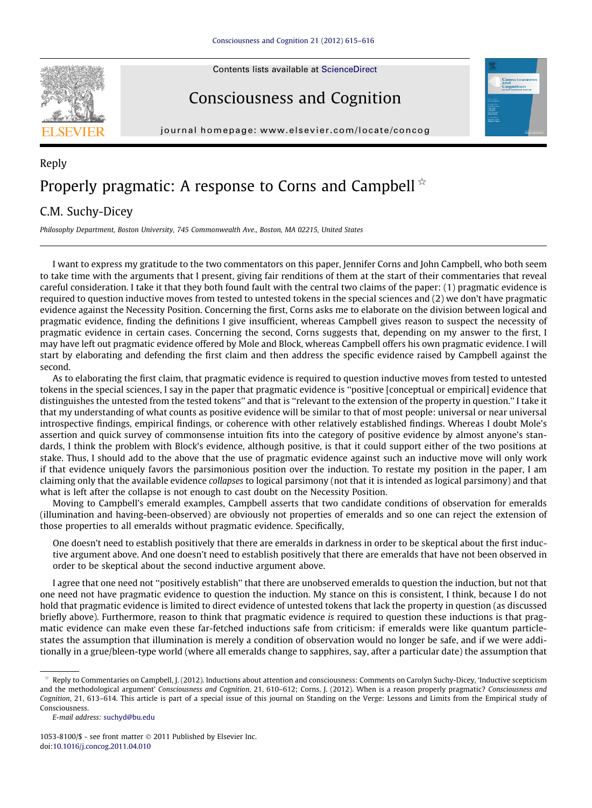Contents lists available at [ScienceDirect](http://www.sciencedirect.com/science/journal/10538100)

## Consciousness and Cognition



journal homepage: [www.elsevier.com/locate/concog](http://www.elsevier.com/locate/concog)

## Reply Properly pragmatic: A response to Corns and Campbell  $*$

## C.M. Suchy-Dicey

Philosophy Department, Boston University, 745 Commonwealth Ave., Boston, MA 02215, United States

I want to express my gratitude to the two commentators on this paper, Jennifer Corns and John Campbell, who both seem to take time with the arguments that I present, giving fair renditions of them at the start of their commentaries that reveal careful consideration. I take it that they both found fault with the central two claims of the paper: (1) pragmatic evidence is required to question inductive moves from tested to untested tokens in the special sciences and (2) we don't have pragmatic evidence against the Necessity Position. Concerning the first, Corns asks me to elaborate on the division between logical and pragmatic evidence, finding the definitions I give insufficient, whereas Campbell gives reason to suspect the necessity of pragmatic evidence in certain cases. Concerning the second, Corns suggests that, depending on my answer to the first, I may have left out pragmatic evidence offered by Mole and Block, whereas Campbell offers his own pragmatic evidence. I will start by elaborating and defending the first claim and then address the specific evidence raised by Campbell against the second.

As to elaborating the first claim, that pragmatic evidence is required to question inductive moves from tested to untested tokens in the special sciences, I say in the paper that pragmatic evidence is ''positive [conceptual or empirical] evidence that distinguishes the untested from the tested tokens'' and that is ''relevant to the extension of the property in question.'' I take it that my understanding of what counts as positive evidence will be similar to that of most people: universal or near universal introspective findings, empirical findings, or coherence with other relatively established findings. Whereas I doubt Mole's assertion and quick survey of commonsense intuition fits into the category of positive evidence by almost anyone's standards, I think the problem with Block's evidence, although positive, is that it could support either of the two positions at stake. Thus, I should add to the above that the use of pragmatic evidence against such an inductive move will only work if that evidence uniquely favors the parsimonious position over the induction. To restate my position in the paper, I am claiming only that the available evidence collapses to logical parsimony (not that it is intended as logical parsimony) and that what is left after the collapse is not enough to cast doubt on the Necessity Position.

Moving to Campbell's emerald examples, Campbell asserts that two candidate conditions of observation for emeralds (illumination and having-been-observed) are obviously not properties of emeralds and so one can reject the extension of those properties to all emeralds without pragmatic evidence. Specifically,

One doesn't need to establish positively that there are emeralds in darkness in order to be skeptical about the first inductive argument above. And one doesn't need to establish positively that there are emeralds that have not been observed in order to be skeptical about the second inductive argument above.

I agree that one need not ''positively establish'' that there are unobserved emeralds to question the induction, but not that one need not have pragmatic evidence to question the induction. My stance on this is consistent, I think, because I do not hold that pragmatic evidence is limited to direct evidence of untested tokens that lack the property in question (as discussed briefly above). Furthermore, reason to think that pragmatic evidence is required to question these inductions is that pragmatic evidence can make even these far-fetched inductions safe from criticism: if emeralds were like quantum particlestates the assumption that illumination is merely a condition of observation would no longer be safe, and if we were additionally in a grue/bleen-type world (where all emeralds change to sapphires, say, after a particular date) the assumption that

 $*$  Reply to Commentaries on Campbell, J. (2012). Inductions about attention and consciousness: Comments on Carolyn Suchy-Dicey, 'Inductive scepticism and the methodological argument' Consciousness and Cognition, 21, 610–612; Corns, J. (2012). When is a reason properly pragmatic? Consciousness and Cognition, 21, 613–614. This article is part of a special issue of this journal on Standing on the Verge: Lessons and Limits from the Empirical study of Consciousness.

E-mail address: [suchyd@bu.edu](mailto:suchyd@bu.edu)

 $1053-8100$ /\$ - see front matter  $\odot$  2011 Published by Elsevier Inc. doi:[10.1016/j.concog.2011.04.010](http://dx.doi.org/10.1016/j.concog.2011.04.010)